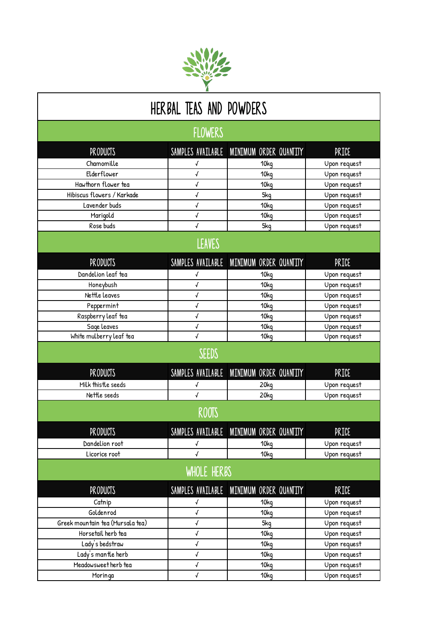

## herbal teas and powders

flowers

|                                  | <b>LLUWENJ</b>             |                                          |              |
|----------------------------------|----------------------------|------------------------------------------|--------------|
| <b>PRODUCTS</b>                  |                            | SAMPLES AVAILABLE MINIMUM ORDER QUANTITY | PRICE        |
| Chamomille                       | √                          | 10kg                                     | Upon request |
| Elderflower                      | $\sqrt{ }$                 | 10 <sub>kq</sub>                         | Upon request |
| Hawthorn flower tea              | √                          | 10kg                                     | Upon request |
| Hibiscus flowers / Karkade       | $\boldsymbol{\mathcal{J}}$ | 5kq                                      | Upon request |
| Lavender buds                    | $\pmb{\sqrt{}}$            | 10kg                                     | Upon request |
| Marigold                         | $\boldsymbol{\mathcal{J}}$ | 10kg                                     | Upon request |
| Rose buds                        | $\sqrt{2}$                 | 5kg                                      | Upon request |
|                                  | <b>LEAVES</b>              |                                          |              |
| <b>PRODUCTS</b>                  |                            | SAMPLES AVAILABLE MINIMUM ORDER QUANTITY | PRICE        |
| Dandelion leaf tea               | √                          | 10kg                                     | Upon request |
| Honeybush                        | $\pmb{\sqrt{}}$            | 10kg                                     | Upon request |
| Nettle leaves                    | $\pmb{\sqrt{}}$            | 10kg                                     | Upon request |
| Peppermint                       | $\checkmark$               | 10kg                                     | Upon request |
| Raspberry leaf tea               | √                          | 10kg                                     | Upon request |
| Sage leaves                      | $\pmb{\sqrt{}}$            | 10 <sub>kq</sub>                         | Upon request |
| White mulberry leaf tea          | $\checkmark$               | 10kg                                     | Upon request |
|                                  | SEEDS                      |                                          |              |
| <b>PRODUCTS</b>                  |                            | SAMPLES AVAILABLE MINIMUM ORDER QUANTITY | PRICE        |
| Milk thistle seeds               | √                          | 20 <sub>kq</sub>                         | Upon request |
| Nettle seeds                     | $\sqrt{2}$                 | 20kg                                     | Upon request |
|                                  | <b>ROOTS</b>               |                                          |              |
| <b>PRODUCTS</b>                  |                            | SAMPLES AVAILABLE MINIMUM ORDER QUANTITY | PRICE        |
| Dandelion root                   | √                          | 10 <sub>kq</sub>                         | Upon request |
| Licorice root                    | $\checkmark$               | 10kg                                     | Upon request |
|                                  | WHOLE HERBS                |                                          |              |
| <b>PRODUCTS</b>                  |                            | SAMPLES AVAILABLE MINIMUM ORDER QUANTITY | <b>PRICE</b> |
| Catnip                           | √                          | 10 <sub>kq</sub>                         | Upon request |
| Goldenrod                        | √                          | 10kg                                     | Upon request |
| Greek mountain tea (Mursala tea) | $\pmb{\sqrt{}}$            | 5kg                                      | Upon request |
| Horsetail herb tea               | $\checkmark$               | 10 <sub>kq</sub>                         | Upon request |
| Lady's bedstraw                  | $\pmb{\sqrt{}}$            | 10kg                                     | Upon request |
| Lady's mantle herb               | $\pmb{\sqrt{}}$            | 10kg                                     | Upon request |
| Meadowsweet herb tea             | $\pmb{\sqrt{}}$            | 10 <sub>kq</sub>                         | Upon request |
| Moringa                          | $\sqrt{ }$                 | 10kg                                     | Upon request |